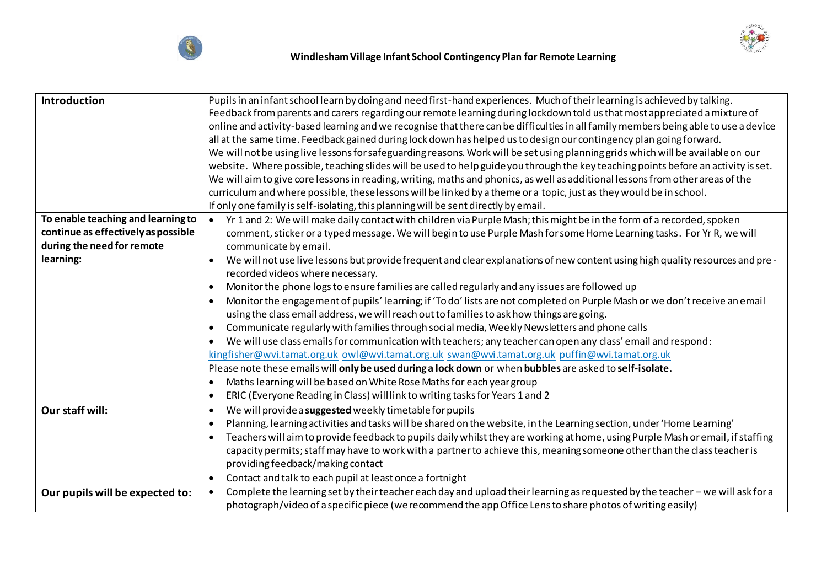